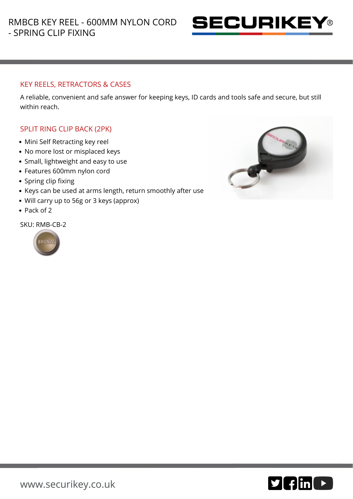

## KEY REELS, RETRACTORS & CASES

A reliable, convenient and safe answer for keeping keys, ID cards and tools safe and secure, but still within reach.

## SPLIT RING CLIP BACK (2PK)

- Mini Self Retracting key reel
- No more lost or misplaced keys
- Small, lightweight and easy to use
- Features 600mm nylon cord
- Spring clip fixing
- Keys can be used at arms length, return smoothly after use
- Will carry up to 56g or 3 keys (approx)
- Pack of 2

SKU: RMB-CB-2





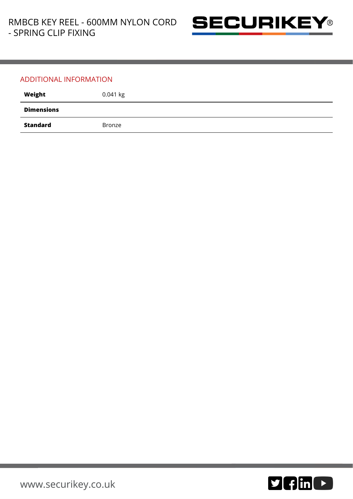

## ADDITIONAL INFORMATION

| Weight            | $0.041$ kg |
|-------------------|------------|
| <b>Dimensions</b> |            |
| Standard          | Bronze     |

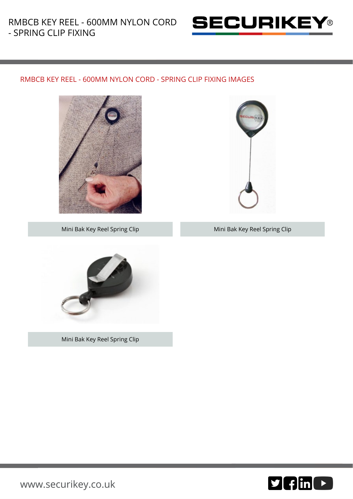

## RMBCB KEY REEL - 600MM NYLON CORD - SPRING CLIP FIXING IMAGES





Mini Bak Key Reel Spring Clip Mini Bak Key Reel Spring Clip



Mini Bak Key Reel Spring Clip



[www.securikey.co.uk](http://www.securikey.co.uk/)